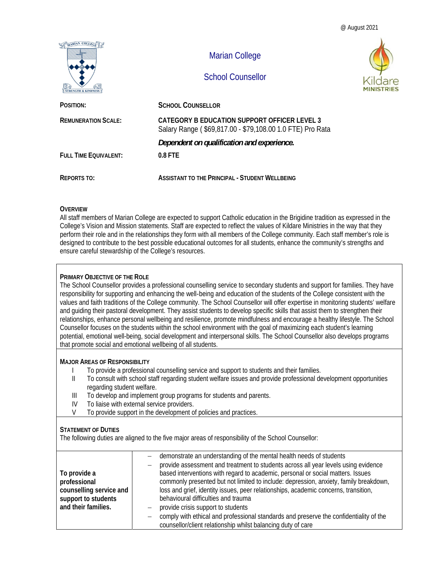@ August 2021



## **OVERVIEW**

All staff members of Marian College are expected to support Catholic education in the Brigidine tradition as expressed in the College's Vision and Mission statements. Staff are expected to reflect the values of Kildare Ministries in the way that they perform their role and in the relationships they form with all members of the College community. Each staff member's role is designed to contribute to the best possible educational outcomes for all students, enhance the community's strengths and ensure careful stewardship of the College's resources.

#### **PRIMARY OBJECTIVE OF THE ROLE**

The School Counsellor provides a professional counselling service to secondary students and support for families. They have responsibility for supporting and enhancing the well-being and education of the students of the College consistent with the values and faith traditions of the College community. The School Counsellor will offer expertise in monitoring students' welfare and guiding their pastoral development. They assist students to develop specific skills that assist them to strengthen their relationships, enhance personal wellbeing and resilience, promote mindfulness and encourage a healthy lifestyle. The School Counsellor focuses on the students within the school environment with the goal of maximizing each student's learning potential, emotional well-being, social development and interpersonal skills. The School Counsellor also develops programs that promote social and emotional wellbeing of all students.

#### **MAJOR AREAS OF RESPONSIBILITY**

- I To provide a professional counselling service and support to students and their families.
- II To consult with school staff regarding student welfare issues and provide professional development opportunities regarding student welfare.
- III To develop and implement group programs for students and parents.
- IV To liaise with external service providers.
- V To provide support in the development of policies and practices.

## **STATEMENT OF DUTIES**

The following duties are aligned to the five major areas of responsibility of the School Counsellor:

| To provide a<br>professional<br>counselling service and<br>support to students<br>and their families. | demonstrate an understanding of the mental health needs of students<br>provide assessment and treatment to students across all year levels using evidence<br>based interventions with regard to academic, personal or social matters. Issues<br>commonly presented but not limited to include: depression, anxiety, family breakdown,<br>loss and grief, identity issues, peer relationships, academic concerns, transition,<br>behavioural difficulties and trauma<br>provide crisis support to students<br>—<br>comply with ethical and professional standards and preserve the confidentiality of the |
|-------------------------------------------------------------------------------------------------------|----------------------------------------------------------------------------------------------------------------------------------------------------------------------------------------------------------------------------------------------------------------------------------------------------------------------------------------------------------------------------------------------------------------------------------------------------------------------------------------------------------------------------------------------------------------------------------------------------------|
|                                                                                                       | counsellor/client relationship whilst balancing duty of care                                                                                                                                                                                                                                                                                                                                                                                                                                                                                                                                             |
|                                                                                                       |                                                                                                                                                                                                                                                                                                                                                                                                                                                                                                                                                                                                          |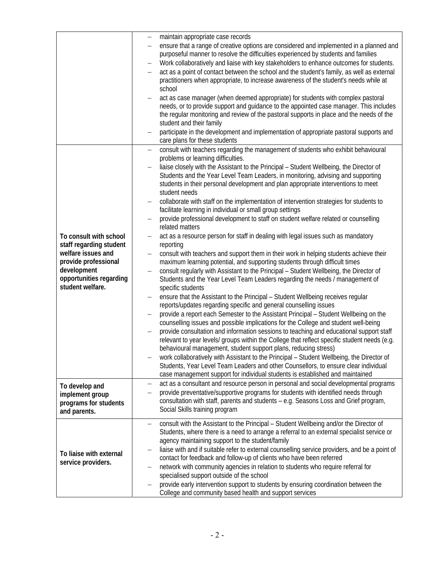|                         |                   | maintain appropriate case records                                                              |
|-------------------------|-------------------|------------------------------------------------------------------------------------------------|
|                         |                   | ensure that a range of creative options are considered and implemented in a planned and        |
|                         |                   | purposeful manner to resolve the difficulties experienced by students and families             |
|                         |                   | Work collaboratively and liaise with key stakeholders to enhance outcomes for students.        |
|                         |                   | act as a point of contact between the school and the student's family, as well as external     |
|                         |                   |                                                                                                |
|                         |                   | practitioners when appropriate, to increase awareness of the student's needs while at          |
|                         |                   | school                                                                                         |
|                         |                   | act as case manager (when deemed appropriate) for students with complex pastoral               |
|                         |                   | needs, or to provide support and guidance to the appointed case manager. This includes         |
|                         |                   | the regular monitoring and review of the pastoral supports in place and the needs of the       |
|                         |                   |                                                                                                |
|                         |                   | student and their family                                                                       |
|                         |                   | participate in the development and implementation of appropriate pastoral supports and         |
|                         |                   | care plans for these students                                                                  |
|                         | $\qquad \qquad -$ | consult with teachers regarding the management of students who exhibit behavioural             |
|                         |                   | problems or learning difficulties.                                                             |
|                         |                   | liaise closely with the Assistant to the Principal - Student Wellbeing, the Director of        |
|                         |                   |                                                                                                |
|                         |                   | Students and the Year Level Team Leaders, in monitoring, advising and supporting               |
|                         |                   | students in their personal development and plan appropriate interventions to meet              |
|                         |                   | student needs                                                                                  |
|                         |                   | collaborate with staff on the implementation of intervention strategies for students to        |
|                         |                   | facilitate learning in individual or small group settings                                      |
|                         |                   | provide professional development to staff on student welfare related or counselling            |
|                         |                   | related matters                                                                                |
|                         |                   |                                                                                                |
| To consult with school  | -                 | act as a resource person for staff in dealing with legal issues such as mandatory              |
| staff regarding student |                   | reporting                                                                                      |
| welfare issues and      |                   | consult with teachers and support them in their work in helping students achieve their         |
| provide professional    |                   | maximum learning potential, and supporting students through difficult times                    |
| development             |                   | consult regularly with Assistant to the Principal - Student Wellbeing, the Director of         |
| opportunities regarding |                   | Students and the Year Level Team Leaders regarding the needs / management of                   |
| student welfare.        |                   | specific students                                                                              |
|                         |                   |                                                                                                |
|                         |                   | ensure that the Assistant to the Principal - Student Wellbeing receives regular                |
|                         |                   | reports/updates regarding specific and general counselling issues                              |
|                         |                   | provide a report each Semester to the Assistant Principal - Student Wellbeing on the           |
|                         |                   | counselling issues and possible implications for the College and student well-being            |
|                         |                   | provide consultation and information sessions to teaching and educational support staff        |
|                         |                   | relevant to year levels/ groups within the College that reflect specific student needs (e.g.   |
|                         |                   | behavioural management, student support plans, reducing stress)                                |
|                         |                   | work collaboratively with Assistant to the Principal - Student Wellbeing, the Director of      |
|                         |                   |                                                                                                |
|                         |                   | Students, Year Level Team Leaders and other Counsellors, to ensure clear individual            |
|                         |                   | case management support for individual students is established and maintained                  |
| To develop and          | $\qquad \qquad -$ | act as a consultant and resource person in personal and social developmental programs          |
| implement group         |                   | provide preventative/supportive programs for students with identified needs through            |
| programs for students   |                   | consultation with staff, parents and students - e.g. Seasons Loss and Grief program,           |
| and parents.            |                   | Social Skills training program                                                                 |
|                         |                   |                                                                                                |
|                         |                   | consult with the Assistant to the Principal - Student Wellbeing and/or the Director of         |
|                         |                   | Students, where there is a need to arrange a referral to an external specialist service or     |
|                         |                   | agency maintaining support to the student/family                                               |
|                         |                   | liaise with and if suitable refer to external counselling service providers, and be a point of |
| To liaise with external |                   |                                                                                                |
| service providers.      |                   | contact for feedback and follow-up of clients who have been referred                           |
|                         |                   | network with community agencies in relation to students who require referral for               |
|                         |                   | specialised support outside of the school                                                      |
|                         |                   | provide early intervention support to students by ensuring coordination between the            |
|                         |                   | College and community based health and support services                                        |
|                         |                   |                                                                                                |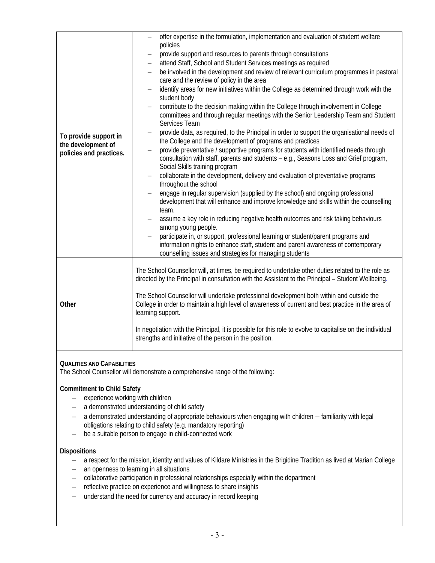| To provide support in<br>the development of<br>policies and practices. | offer expertise in the formulation, implementation and evaluation of student welfare                                                                                                                             |  |  |
|------------------------------------------------------------------------|------------------------------------------------------------------------------------------------------------------------------------------------------------------------------------------------------------------|--|--|
|                                                                        | policies<br>provide support and resources to parents through consultations                                                                                                                                       |  |  |
|                                                                        | attend Staff, School and Student Services meetings as required                                                                                                                                                   |  |  |
|                                                                        | be involved in the development and review of relevant curriculum programmes in pastoral                                                                                                                          |  |  |
|                                                                        | care and the review of policy in the area                                                                                                                                                                        |  |  |
|                                                                        | identify areas for new initiatives within the College as determined through work with the                                                                                                                        |  |  |
|                                                                        | student body                                                                                                                                                                                                     |  |  |
|                                                                        | contribute to the decision making within the College through involvement in College<br>committees and through regular meetings with the Senior Leadership Team and Student<br>Services Team                      |  |  |
|                                                                        | provide data, as required, to the Principal in order to support the organisational needs of<br>the College and the development of programs and practices                                                         |  |  |
|                                                                        | provide preventative / supportive programs for students with identified needs through<br>consultation with staff, parents and students - e.g., Seasons Loss and Grief program,<br>Social Skills training program |  |  |
|                                                                        | collaborate in the development, delivery and evaluation of preventative programs                                                                                                                                 |  |  |
|                                                                        | throughout the school                                                                                                                                                                                            |  |  |
|                                                                        | engage in regular supervision (supplied by the school) and ongoing professional<br>development that will enhance and improve knowledge and skills within the counselling                                         |  |  |
|                                                                        | team.                                                                                                                                                                                                            |  |  |
|                                                                        | assume a key role in reducing negative health outcomes and risk taking behaviours<br>among young people.                                                                                                         |  |  |
|                                                                        | participate in, or support, professional learning or student/parent programs and                                                                                                                                 |  |  |
|                                                                        | information nights to enhance staff, student and parent awareness of contemporary<br>counselling issues and strategies for managing students                                                                     |  |  |
| Other                                                                  | The School Counsellor will, at times, be required to undertake other duties related to the role as                                                                                                               |  |  |
|                                                                        | directed by the Principal in consultation with the Assistant to the Principal - Student Wellbeing.                                                                                                               |  |  |
|                                                                        | The School Counsellor will undertake professional development both within and outside the                                                                                                                        |  |  |
|                                                                        | College in order to maintain a high level of awareness of current and best practice in the area of<br>learning support.                                                                                          |  |  |
|                                                                        | In negotiation with the Principal, it is possible for this role to evolve to capitalise on the individual<br>strengths and initiative of the person in the position.                                             |  |  |
|                                                                        |                                                                                                                                                                                                                  |  |  |

# **QUALITIES AND CAPABILITIES**

The School Counsellor will demonstrate a comprehensive range of the following:

## **Commitment to Child Safety**

- $-$  experience working with children
- a demonstrated understanding of child safety
- a demonstrated understanding of appropriate behaviours when engaging with children familiarity with legal obligations relating to child safety (e.g. mandatory reporting)
- be a suitable person to engage in child-connected work

## **Dispositions**

- a respect for the mission, identity and values of Kildare Ministries in the Brigidine Tradition as lived at Marian College
- an openness to learning in all situations
- collaborative participation in professional relationships especially within the department
- reflective practice on experience and willingness to share insights
- understand the need for currency and accuracy in record keeping